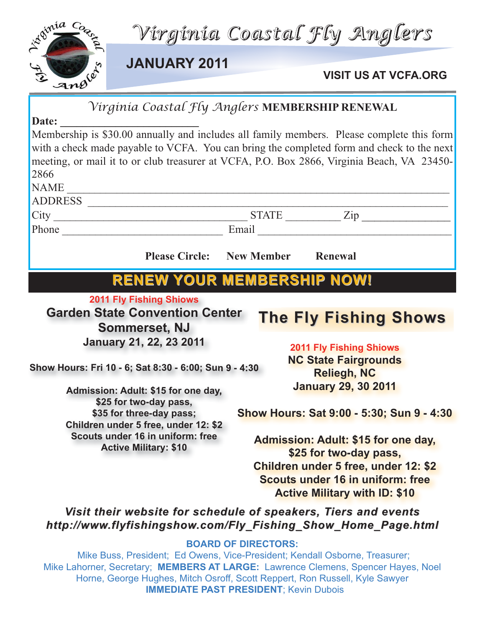

|                                                                               | Virginia Coastal Fly Anglers MEMBERSHIP RENEWAL                                            |
|-------------------------------------------------------------------------------|--------------------------------------------------------------------------------------------|
| Date:                                                                         |                                                                                            |
|                                                                               | Membership is \$30.00 annually and includes all family members. Please complete this form  |
|                                                                               | with a check made payable to VCFA. You can bring the completed form and check to the next  |
|                                                                               | meeting, or mail it to or club treasurer at VCFA, P.O. Box 2866, Virginia Beach, VA 23450- |
| 2866                                                                          |                                                                                            |
| <b>NAME</b><br><u> 1999 - Johann John Harry Hermes, fransk politik (d. 19</u> |                                                                                            |
| ADDRESS                                                                       |                                                                                            |
|                                                                               |                                                                                            |
|                                                                               |                                                                                            |
| <b>Please Circle:</b> New Member                                              | Renewal                                                                                    |
|                                                                               |                                                                                            |
|                                                                               | <b>RENEW YOUR MEMBERSHIP NOW!</b>                                                          |
| <b>2011 Fly Fishing Shiows</b>                                                |                                                                                            |
|                                                                               |                                                                                            |
|                                                                               |                                                                                            |
| <b>Garden State Convention Center</b>                                         | <b>The Fly Fishing Shows</b>                                                               |
| <b>Sommerset, NJ</b>                                                          |                                                                                            |
| <b>January 21, 22, 23 2011</b>                                                | <b>2011 Fly Fishing Shiows</b>                                                             |
|                                                                               | <b>NC State Fairgrounds</b>                                                                |
| Show Hours: Fri 10 - 6; Sat 8:30 - 6:00; Sun 9 - 4:30                         | <b>Reliegh, NC</b>                                                                         |
| Admission: Adult: \$15 for one day,                                           | <b>January 29, 30 2011</b>                                                                 |
| \$25 for two-day pass,                                                        |                                                                                            |
| \$35 for three-day pass;                                                      | Show Hours: Sat 9:00 - 5:30; Sun 9 - 4:30                                                  |
| Children under 5 free, under 12: \$2                                          |                                                                                            |
| Scouts under 16 in uniform: free                                              | <b>Admission: Adult: \$15 for one day,</b>                                                 |
| <b>Active Military: \$10</b>                                                  | \$25 for two-day pass,                                                                     |
|                                                                               | <b>Children under 5 free, under 12: \$2</b>                                                |
|                                                                               | Scouts under 16 in uniform: free                                                           |
|                                                                               | <b>Active Military with ID: \$10</b>                                                       |
|                                                                               | Visit their website for schedule of speakers, Tiers and events                             |
|                                                                               | http://www.flyfishingshow.com/Fly_Fishing_Show_Home_Page.html                              |
|                                                                               | <b>BOARD OF DIRECTORS:</b>                                                                 |

Mike Lahorner, Secretary; **MEMBERS AT LARGE:** Lawrence Clemens, Spencer Hayes, Noel Horne, George Hughes, Mitch Osroff, Scott Reppert, Ron Russell, Kyle Sawyer **IMMEDIATE PAST PRESIDENT**; Kevin Dubois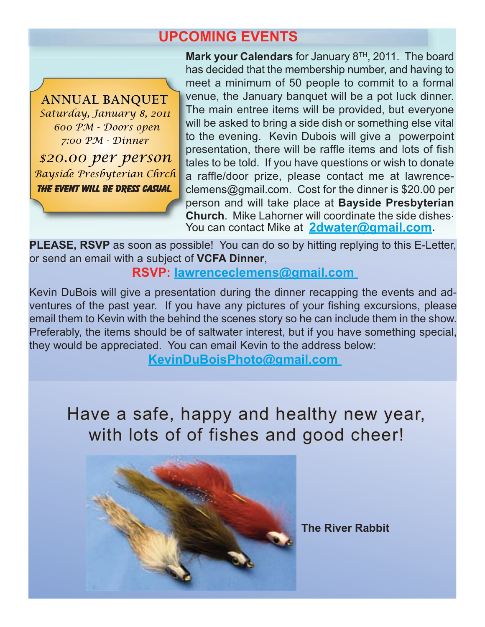## **UPCOMING EVENTS**

**ANNUAL BANQUET ANNUAL BANQUET** *Saturday, January 8, 2011 600 PM - Doors open 7:00 PM - Dinner*

*\$20.00 per person Bayside Presbyterian Chrch The event will be dress casual.*

**Mark your Calendars** for January 8TH, 2011. The board has decided that the membership number, and having to meet a minimum of 50 people to commit to a formal venue, the January banquet will be a pot luck dinner. The main entree items will be provided, but everyone will be asked to bring a side dish or something else vital to the evening. Kevin Dubois will give a powerpoint presentation, there will be raffle items and lots of fish tales to be told. If you have questions or wish to donate a raffle/door prize, please contact me at lawrenceclemens@gmail.com. Cost for the dinner is \$20.00 per person and will take place at **Bayside Presbyterian Church**. Mike Lahorner will coordinate the side dishes. You can contact Mike at **2dwater@gmail.com.**

**PLEASE, RSVP** as soon as possible! You can do so by hitting replying to this E-Letter, or send an email with a subject of **VCFA Dinner**,

**RSVP: lawrenceclemens@gmail.com** 

Kevin DuBois will give a presentation during the dinner recapping the events and adventures of the past year. If you have any pictures of your fishing excursions, please email them to Kevin with the behind the scenes story so he can include them in the show. Preferably, the items should be of saltwater interest, but if you have something special, they would be appreciated. You can email Kevin to the address below:

**KevinDuBoisPhoto@gmail.com** 

Have a safe, happy and healthy new year, with lots of of fishes and good cheer!



**The River Rabbit**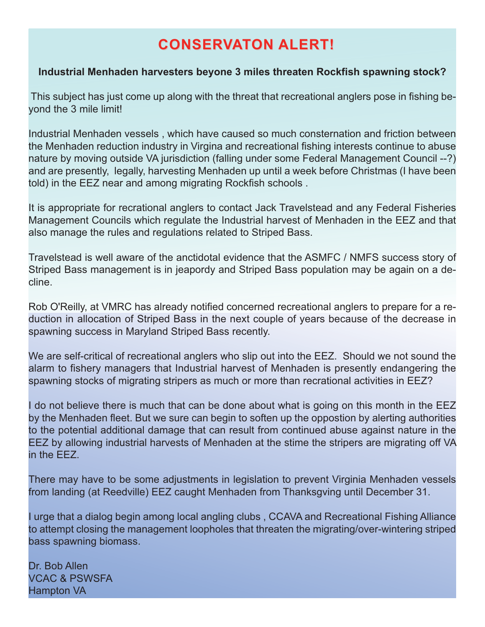# **CONSERVATON ALERT! CONSERVATON ALERT!**

### **Industrial Menhaden harvesters beyone 3 miles threaten Rockfish spawning stock?**

This subject has just come up along with the threat that recreational anglers pose in fishing beyond the 3 mile limit!

Industrial Menhaden vessels , which have caused so much consternation and friction between the Menhaden reduction industry in Virgina and recreational fishing interests continue to abuse nature by moving outside VA jurisdiction (falling under some Federal Management Council --?) and are presently, legally, harvesting Menhaden up until a week before Christmas (I have been told) in the EEZ near and among migrating Rockfish schools .

It is appropriate for recrational anglers to contact Jack Travelstead and any Federal Fisheries Management Councils which regulate the Industrial harvest of Menhaden in the EEZ and that also manage the rules and regulations related to Striped Bass.

Travelstead is well aware of the anctidotal evidence that the ASMFC / NMFS success story of Striped Bass management is in jeapordy and Striped Bass population may be again on a decline.

Rob O'Reilly, at VMRC has already notified concerned recreational anglers to prepare for a reduction in allocation of Striped Bass in the next couple of years because of the decrease in spawning success in Maryland Striped Bass recently.

We are self-critical of recreational anglers who slip out into the EEZ. Should we not sound the alarm to fishery managers that Industrial harvest of Menhaden is presently endangering the spawning stocks of migrating stripers as much or more than recrational activities in EEZ?

I do not believe there is much that can be done about what is going on this month in the EEZ by the Menhaden fleet. But we sure can begin to soften up the oppostion by alerting authorities to the potential additional damage that can result from continued abuse against nature in the EEZ by allowing industrial harvests of Menhaden at the stime the stripers are migrating off VA in the EEZ.

There may have to be some adjustments in legislation to prevent Virginia Menhaden vessels from landing (at Reedville) EEZ caught Menhaden from Thanksgving until December 31.

urge that a dialog begin among local angling clubs, CCAVA and Recreational Fishing Alliance to attempt closing the management loopholes that threaten the migrating/over-wintering striped bass spawning biomass.

Dr. Bob Allen VCAC & PSWSFA Hampton VA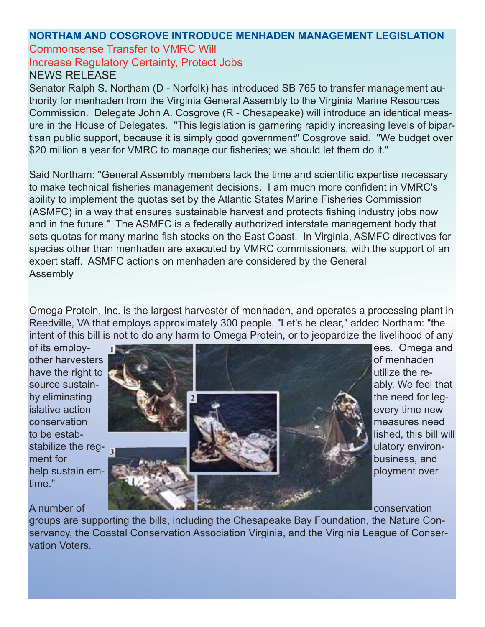## **NORTHAM AND COSGROVE INTRODUCE MENHADEN MANAGEMENT LEGISLATION** Commonsense Transfer to VMRC Will

Increase Regulatory Certainty, Protect Jobs

## NEWS RELEASE

Senator Ralph S. Northam (D - Norfolk) has introduced SB 765 to transfer management authority for menhaden from the Virginia General Assembly to the Virginia Marine Resources Commission. Delegate John A. Cosgrove (R - Chesapeake) will introduce an identical measure in the House of Delegates. "This legislation is garnering rapidly increasing levels of bipartisan public support, because it is simply good government" Cosgrove said. "We budget over \$20 million a year for VMRC to manage our fisheries; we should let them do it."

Said Northam: "General Assembly members lack the time and scientific expertise necessary to make technical fisheries management decisions. I am much more confident in VMRC's ability to implement the quotas set by the Atlantic States Marine Fisheries Commission (ASMFC) in a way that ensures sustainable harvest and protects fishing industry jobs now and in the future." The ASMFC is a federally authorized interstate management body that sets quotas for many marine fish stocks on the East Coast. In Virginia, ASMFC directives for species other than menhaden are executed by VMRC commissioners, with the support of an expert staff. ASMFC actions on menhaden are considered by the General Assembly

Omega Protein, Inc. is the largest harvester of menhaden, and operates a processing plant in Reedville, VA that employs approximately 300 people. "Let's be clear," added Northam: "the intent of this bill is not to do any harm to Omega Protein, or to jeopardize the livelihood of any

time."

## other harvesters **of menhaden** and the mental of menhaden have the right to  $\mathcal{L}$  is a set of the resource sustain- **ably.** We feel that by eliminating the need for legislative action every with the state of the state of the state of the state of the state of the state of the state of the state of the state of the state of the state of the state of the state of the state of the state of conservation **measures** need that the conservation measures need to be estab- lished, this bill will be estabstabilize the regment for **business**, and help sustain em- **ployment** over

of its employ- et al. **Figure 2018 example 2018 example 2018 example 2018 example 2018 example 2018 example 2018 example 2018 example 2018 example 2018 example 2018 example 2018 example 2018 examp** 

A number of conservation and conservation conservation

groups are supporting the bills, including the Chesapeake Bay Foundation, the Nature Conservancy, the Coastal Conservation Association Virginia, and the Virginia League of Conservation Voters.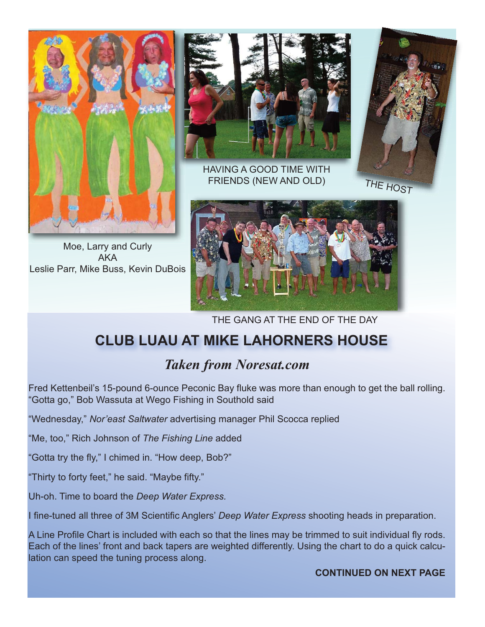

Moe, Larry and Curly AKA Leslie Parr, Mike Buss, Kevin DuBois



HAVING A GOOD TIME WITH FRIENDS (NEW AND OLD)



THE GANG AT THE END OF THE DAY

# **CLUB LUAU AT MIKE LAHORNERS HOUSE**

# *Taken from Noresat.com*

Fred Kettenbeil's 15-pound 6-ounce Peconic Bay fluke was more than enough to get the ball rolling. "Gotta go," Bob Wassuta at Wego Fishing in Southold said

"Wednesday," *Nor'east Saltwater* advertising manager Phil Scocca replied

"Me, too," Rich Johnson of *The Fishing Line* added

"Gotta try the fly," I chimed in. "How deep, Bob?"

"Thirty to forty feet," he said. "Maybe fifty."

Uh-oh. Time to board the *Deep Water Express.*

I fine-tuned all three of 3M Scientific Anglers' *Deep Water Express* shooting heads in preparation.

A Line Profile Chart is included with each so that the lines may be trimmed to suit individual fly rods. Each of the lines' front and back tapers are weighted differently. Using the chart to do a quick calculation can speed the tuning process along.

#### **CONTINUED ON NEXT PAGE**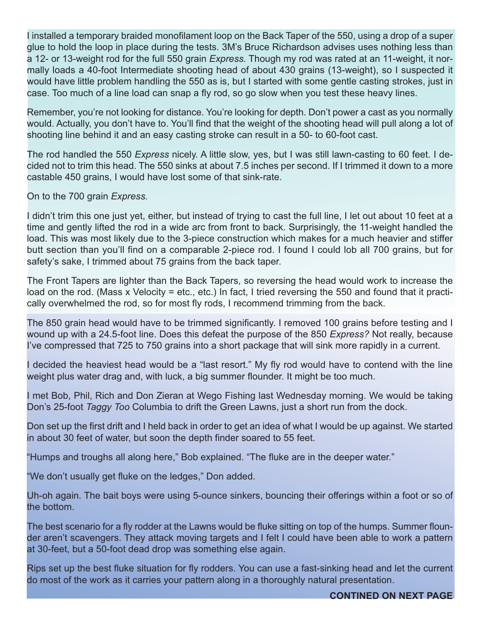I installed a temporary braided monofilament loop on the Back Taper of the 550, using a drop of a super glue to hold the loop in place during the tests. 3M's Bruce Richardson advises uses nothing less than a 12- or 13-weight rod for the full 550 grain *Express.* Though my rod was rated at an 11-weight, it normally loads a 40-foot Intermediate shooting head of about 430 grains (13-weight), so I suspected it would have little problem handling the 550 as is, but I started with some gentle casting strokes, just in case. Too much of a line load can snap a fly rod, so go slow when you test these heavy lines.

Remember, you're not looking for distance. You're looking for depth. Don't power a cast as you normally would. Actually, you don't have to. You'll find that the weight of the shooting head will pull along a lot of shooting line behind it and an easy casting stroke can result in a 50- to 60-foot cast.

The rod handled the 550 *Express* nicely. A little slow, yes, but I was still lawn-casting to 60 feet. I decided not to trim this head. The 550 sinks at about 7.5 inches per second. If I trimmed it down to a more castable 450 grains, I would have lost some of that sink-rate.

On to the 700 grain *Express.*

I didn't trim this one just yet, either, but instead of trying to cast the full line, I let out about 10 feet at a time and gently lifted the rod in a wide arc from front to back. Surprisingly, the 11-weight handled the load. This was most likely due to the 3-piece construction which makes for a much heavier and stiffer butt section than you'll find on a comparable 2-piece rod. I found I could lob all 700 grains, but for safety's sake, I trimmed about 75 grains from the back taper.

The Front Tapers are lighter than the Back Tapers, so reversing the head would work to increase the load on the rod. (Mass x Velocity = etc., etc.) In fact, I tried reversing the 550 and found that it practically overwhelmed the rod, so for most fly rods, I recommend trimming from the back.

The 850 grain head would have to be trimmed significantly. I removed 100 grains before testing and I wound up with a 24.5-foot line. Does this defeat the purpose of the 850 *Express?* Not really, because I've compressed that 725 to 750 grains into a short package that will sink more rapidly in a current.

I decided the heaviest head would be a "last resort." My fly rod would have to contend with the line weight plus water drag and, with luck, a big summer flounder. It might be too much.

I met Bob, Phil, Rich and Don Zieran at Wego Fishing last Wednesday morning. We would be taking Don's 25-foot *Taggy Too* Columbia to drift the Green Lawns, just a short run from the dock.

Don set up the first drift and I held back in order to get an idea of what I would be up against. We started in about 30 feet of water, but soon the depth finder soared to 55 feet.

"Humps and troughs all along here," Bob explained. "The fluke are in the deeper water."

"We don't usually get fluke on the ledges," Don added.

Uh-oh again. The bait boys were using 5-ounce sinkers, bouncing their offerings within a foot or so of the bottom.

The best scenario for a fly rodder at the Lawns would be fluke sitting on top of the humps. Summer flounder aren't scavengers. They attack moving targets and I felt I could have been able to work a pattern at 30-feet, but a 50-foot dead drop was something else again.

Rips set up the best fluke situation for fly rodders. You can use a fast-sinking head and let the current do most of the work as it carries your pattern along in a thoroughly natural presentation.